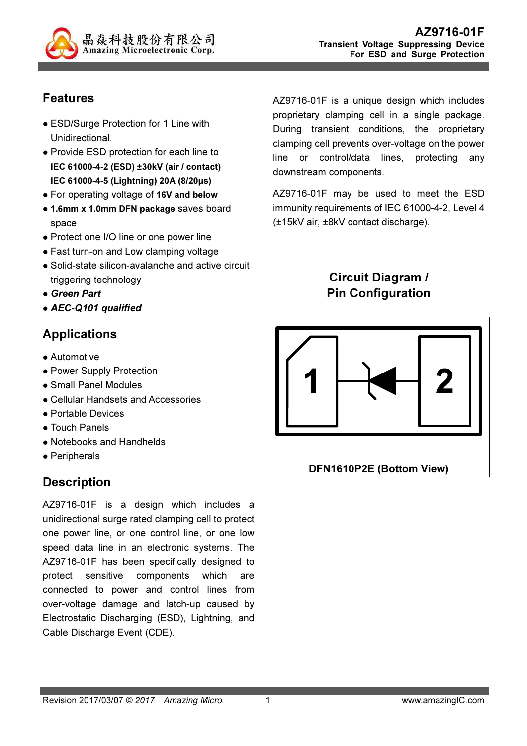

## Features

- ESD/Surge Protection for 1 Line with Unidirectional.
- Provide ESD protection for each line to IEC 61000-4-2 (ESD) ±30kV (air / contact) IEC 61000-4-5 (Lightning) 20A (8/20µs)
- For operating voltage of 16V and below
- 1.6mm x 1.0mm DFN package saves board space
- Protect one I/O line or one power line
- Fast turn-on and Low clamping voltage
- Solid-state silicon-avalanche and active circuit triggering technology
- Green Part
- AEC-Q101 qualified

### Applications

- **Automotive**
- Power Supply Protection
- Small Panel Modules
- Cellular Handsets and Accessories
- Portable Devices
- Touch Panels
- Notebooks and Handhelds
- Peripherals

## **Description**

AZ9716-01F is a design which includes a unidirectional surge rated clamping cell to protect one power line, or one control line, or one low speed data line in an electronic systems. The AZ9716-01F has been specifically designed to protect sensitive components which are connected to power and control lines from over-voltage damage and latch-up caused by Electrostatic Discharging (ESD), Lightning, and Cable Discharge Event (CDE).

AZ9716-01F is a unique design which includes proprietary clamping cell in a single package. During transient conditions, the proprietary clamping cell prevents over-voltage on the power line or control/data lines, protecting any downstream components.

AZ9716-01F may be used to meet the ESD immunity requirements of IEC 61000-4-2, Level 4 (±15kV air, ±8kV contact discharge).

> Circuit Diagram / Pin Configuration

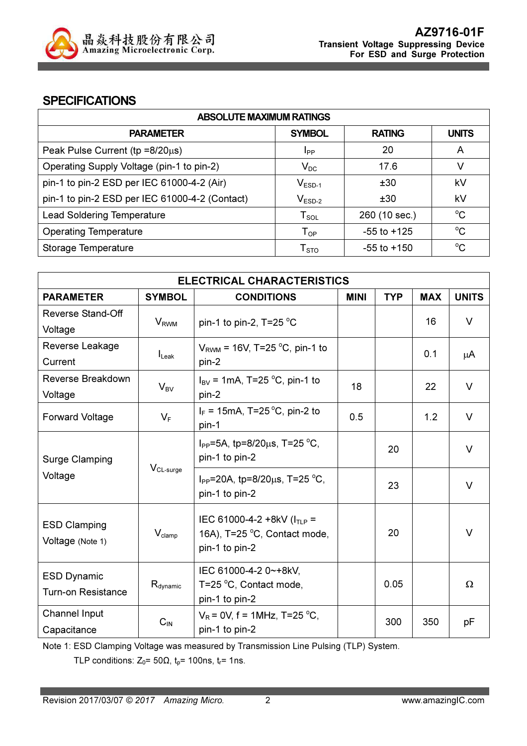

#### **SPECIFICATIONS**

| <b>ABSOLUTE MAXIMUM RATINGS</b>                |                             |                 |              |  |
|------------------------------------------------|-----------------------------|-----------------|--------------|--|
| <b>PARAMETER</b>                               | <b>SYMBOL</b>               | <b>RATING</b>   | <b>UNITS</b> |  |
| Peak Pulse Current ( $tp = 8/20\mu s$ )        | <b>I</b> pp                 | 20              | A            |  |
| Operating Supply Voltage (pin-1 to pin-2)      | $V_{DC}$                    | 17.6            | V            |  |
| pin-1 to pin-2 ESD per IEC 61000-4-2 (Air)     | $V_{ESD-1}$                 | ±30             | kV           |  |
| pin-1 to pin-2 ESD per IEC 61000-4-2 (Contact) | $V_{ESD-2}$                 | ±30             | kV           |  |
| <b>Lead Soldering Temperature</b>              | $T_{SOL}$                   | 260 (10 sec.)   | $^{\circ}C$  |  |
| <b>Operating Temperature</b>                   | ${\mathsf T}_{\textsf{OP}}$ | $-55$ to $+125$ | $^{\circ}C$  |  |
| Storage Temperature                            | ${\sf T}_{\text{STO}}$      | -55 to +150     | $^{\circ}C$  |  |

| <b>ELECTRICAL CHARACTERISTICS</b> |                                                                                                                                   |                                                                                                                                                                                                                                                 |            |                        |                        |
|-----------------------------------|-----------------------------------------------------------------------------------------------------------------------------------|-------------------------------------------------------------------------------------------------------------------------------------------------------------------------------------------------------------------------------------------------|------------|------------------------|------------------------|
| <b>SYMBOL</b>                     | <b>CONDITIONS</b>                                                                                                                 | <b>MINI</b>                                                                                                                                                                                                                                     | <b>TYP</b> | <b>MAX</b>             | <b>UNITS</b>           |
|                                   |                                                                                                                                   |                                                                                                                                                                                                                                                 |            |                        | $\vee$                 |
|                                   |                                                                                                                                   |                                                                                                                                                                                                                                                 |            |                        |                        |
|                                   | $V_{RWM}$ = 16V, T=25 °C, pin-1 to                                                                                                |                                                                                                                                                                                                                                                 |            |                        |                        |
|                                   | pin-2                                                                                                                             |                                                                                                                                                                                                                                                 |            |                        | μA                     |
|                                   | $I_{BV}$ = 1mA, T=25 °C, pin-1 to                                                                                                 |                                                                                                                                                                                                                                                 |            |                        | $\vee$                 |
|                                   | pin-2                                                                                                                             |                                                                                                                                                                                                                                                 |            |                        |                        |
|                                   | $I_F$ = 15mA, T=25 °C, pin-2 to                                                                                                   |                                                                                                                                                                                                                                                 |            |                        | V                      |
|                                   | pin-1                                                                                                                             |                                                                                                                                                                                                                                                 |            |                        |                        |
|                                   | $I_{PP}$ =5A, tp=8/20 $\mu$ s, T=25 °C,                                                                                           |                                                                                                                                                                                                                                                 |            |                        | $\vee$                 |
|                                   | pin-1 to pin-2                                                                                                                    |                                                                                                                                                                                                                                                 |            |                        |                        |
|                                   | I <sub>PP</sub> =20A, tp=8/20 $\mu$ s, T=25 °C,                                                                                   |                                                                                                                                                                                                                                                 |            |                        | $\vee$                 |
|                                   | pin-1 to pin-2                                                                                                                    |                                                                                                                                                                                                                                                 |            |                        |                        |
|                                   |                                                                                                                                   |                                                                                                                                                                                                                                                 |            |                        |                        |
|                                   |                                                                                                                                   |                                                                                                                                                                                                                                                 |            |                        | $\vee$                 |
|                                   |                                                                                                                                   |                                                                                                                                                                                                                                                 |            |                        |                        |
|                                   |                                                                                                                                   |                                                                                                                                                                                                                                                 |            |                        |                        |
|                                   |                                                                                                                                   |                                                                                                                                                                                                                                                 |            |                        | Ω                      |
|                                   |                                                                                                                                   |                                                                                                                                                                                                                                                 |            |                        |                        |
|                                   |                                                                                                                                   |                                                                                                                                                                                                                                                 |            |                        |                        |
| $C_{IN}$                          |                                                                                                                                   |                                                                                                                                                                                                                                                 | 300        | 350                    | рF                     |
|                                   | <b>V</b> <sub>RWM</sub><br>$I_{\text{L}eak}$<br>$V_{BV}$<br>$V_F$<br>$V_{CL-surge}$<br>$V_{\text{clamp}}$<br>$R_{\text{dynamic}}$ | pin-1 to pin-2, $T=25 \degree C$<br>IEC 61000-4-2 +8kV ( $I_{TLP}$ =<br>16A), T=25 °C, Contact mode,<br>pin-1 to pin-2<br>IEC 61000-4-2 0~+8kV,<br>T=25 °C, Contact mode,<br>pin-1 to pin-2<br>$V_R$ = 0V, f = 1MHz, T=25 °C,<br>pin-1 to pin-2 | 18<br>0.5  | 20<br>23<br>20<br>0.05 | 16<br>0.1<br>22<br>1.2 |

Note 1: ESD Clamping Voltage was measured by Transmission Line Pulsing (TLP) System.

TLP conditions:  $Z_0$ = 50 $\Omega$ ,  $t_p$ = 100ns,  $t_r$ = 1ns.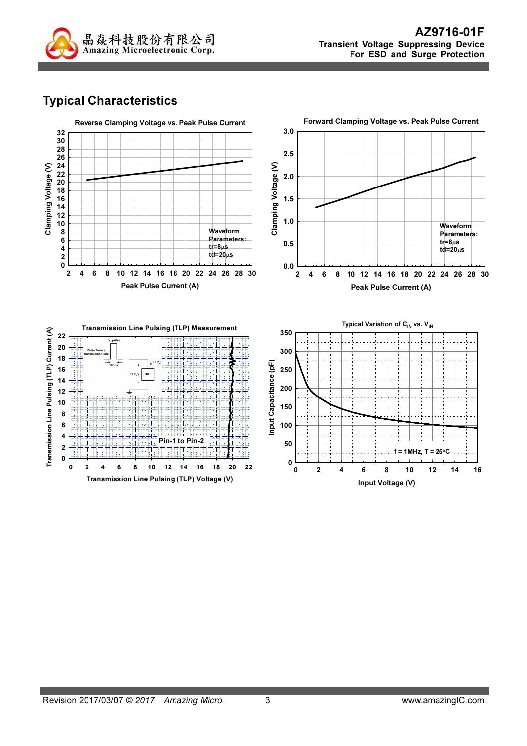

# Typical Characteristics

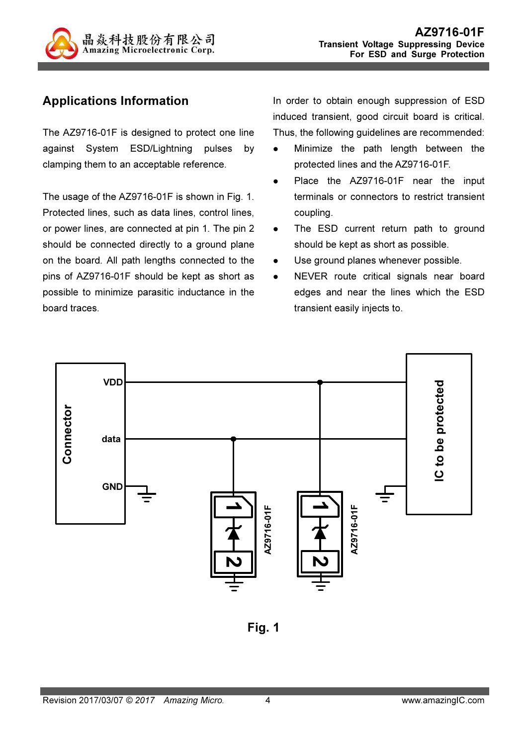

## Applications Information

The AZ9716-01F is designed to protect one line against System ESD/Lightning pulses by clamping them to an acceptable reference.

The usage of the AZ9716-01F is shown in Fig. 1. Protected lines, such as data lines, control lines, or power lines, are connected at pin 1. The pin 2 should be connected directly to a ground plane on the board. All path lengths connected to the pins of AZ9716-01F should be kept as short as possible to minimize parasitic inductance in the board traces.

In order to obtain enough suppression of ESD induced transient, good circuit board is critical. Thus, the following guidelines are recommended:

- Minimize the path length between the protected lines and the AZ9716-01F.
- Place the AZ9716-01F near the input terminals or connectors to restrict transient coupling.
- The ESD current return path to ground should be kept as short as possible.
- Use ground planes whenever possible.
- NEVER route critical signals near board edges and near the lines which the ESD transient easily injects to.



Fig. 1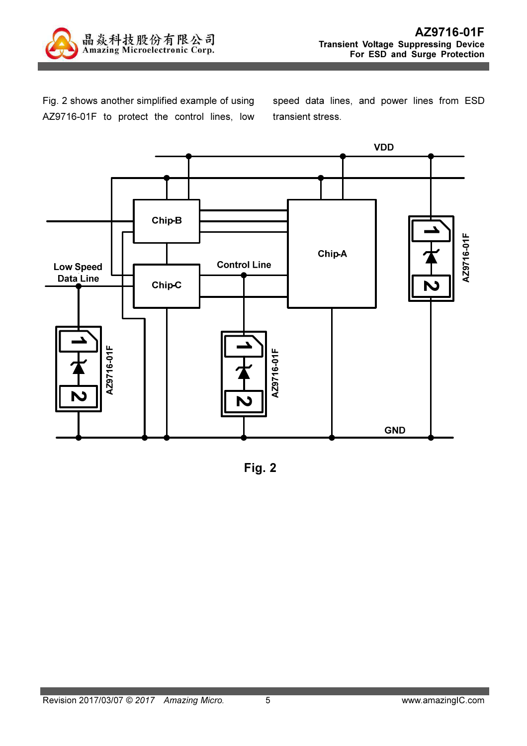

Fig. 2 shows another simplified example of using AZ9716-01F to protect the control lines, low speed data lines, and power lines from ESD transient stress.



Fig. 2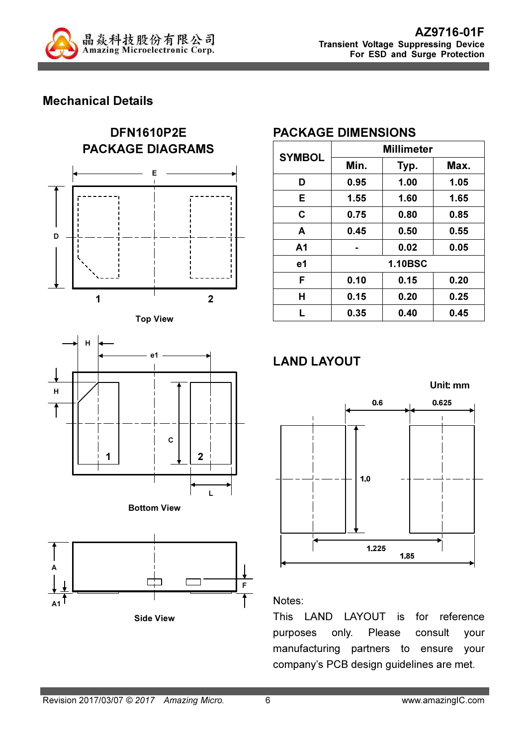

### Mechanical Details











### PACKAGE DIMENSIONS

| <b>SYMBOL</b>  | <b>Millimeter</b> |      |      |  |
|----------------|-------------------|------|------|--|
|                | Min.              | Typ. | Max. |  |
| D              | 0.95              | 1.00 | 1.05 |  |
| E              | 1.55              | 1.60 | 1.65 |  |
| C              | 0.75              | 0.80 | 0.85 |  |
| A              | 0.45              | 0.50 | 0.55 |  |
| A <sub>1</sub> |                   | 0.02 | 0.05 |  |
| e1             | <b>1.10BSC</b>    |      |      |  |
| F              | 0.10              | 0.15 | 0.20 |  |
| Н              | 0.15              | 0.20 | 0.25 |  |
| L              | 0.35              | 0.40 | 0.45 |  |

# LAND LAYOUT



#### Notes:

This LAND LAYOUT is for reference purposes only. Please consult your manufacturing partners to ensure your company's PCB design guidelines are met.